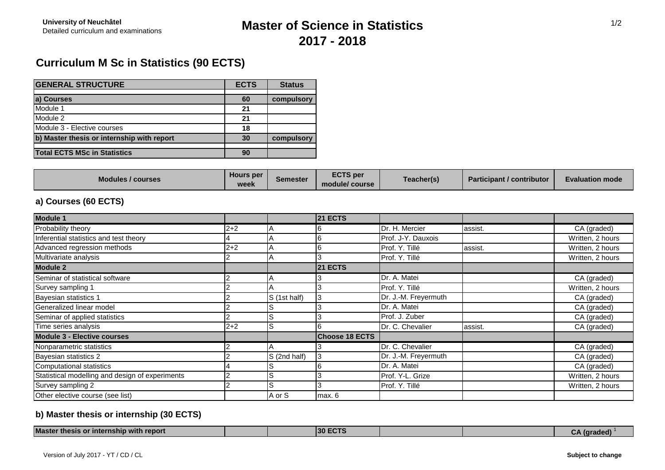## **Master of Science in Statistics 2017 - 2018**

## **Curriculum M Sc in Statistics (90 ECTS)**

| <b>GENERAL STRUCTURE</b>                   | <b>ECTS</b> | <b>Status</b> |
|--------------------------------------------|-------------|---------------|
|                                            |             |               |
| a) Courses                                 | 60          | compulsory    |
| Module 1                                   | 21          |               |
| Module 2                                   | 21          |               |
| Module 3 - Elective courses                | 18          |               |
| b) Master thesis or internship with report | 30          | compulsory    |
|                                            |             |               |
| <b>Total ECTS MSc in Statistics</b>        | 90          |               |

| <b>Modules / courses</b> | <b>Hours</b> per<br>$n\alpha$<br>MQQ | Semester | <b>ECTS per</b><br>module/ course | Teacher(s) | Participant / contributor | <b>Evaluation mode</b> |
|--------------------------|--------------------------------------|----------|-----------------------------------|------------|---------------------------|------------------------|
|--------------------------|--------------------------------------|----------|-----------------------------------|------------|---------------------------|------------------------|

### **a) Courses (60 ECTS)**

| <b>Module 1</b>                                 |         |              | <b>21 ECTS</b>        |                      |         |                  |
|-------------------------------------------------|---------|--------------|-----------------------|----------------------|---------|------------------|
| Probability theory                              | $2 + 2$ |              |                       | Dr. H. Mercier       | assist. | CA (graded)      |
| Inferential statistics and test theory          |         |              |                       | Prof. J-Y. Dauxois   |         | Written, 2 hours |
| Advanced regression methods                     | $2 + 2$ |              |                       | Prof. Y. Tillé       | assist. | Written, 2 hours |
| Multivariate analysis                           |         |              |                       | Prof. Y. Tillé       |         | Written, 2 hours |
| <b>Module 2</b>                                 |         |              | <b>21 ECTS</b>        |                      |         |                  |
| Seminar of statistical software                 |         |              |                       | Dr. A. Matei         |         | CA (graded)      |
| Survey sampling 1                               |         |              |                       | Prof. Y. Tillé       |         | Written, 2 hours |
| Bayesian statistics 1                           |         | S (1st half) |                       | Dr. J.-M. Freyermuth |         | CA (graded)      |
| Generalized linear model                        |         |              |                       | Dr. A. Matei         |         | CA (graded)      |
| Seminar of applied statistics                   |         |              |                       | Prof. J. Zuber       |         | CA (graded)      |
| Time series analysis                            | $2 + 2$ |              |                       | Dr. C. Chevalier     | assist. | CA (graded)      |
| <b>Module 3 - Elective courses</b>              |         |              | <b>Choose 18 ECTS</b> |                      |         |                  |
| Nonparametric statistics                        |         |              |                       | Dr. C. Chevalier     |         | CA (graded)      |
| Bayesian statistics 2                           |         | S (2nd half) |                       | Dr. J.-M. Freyermuth |         | CA (graded)      |
| Computational statistics                        |         |              |                       | Dr. A. Matei         |         | CA (graded)      |
| Statistical modelling and design of experiments |         |              |                       | Prof. Y-L. Grize     |         | Written, 2 hours |
| Survey sampling 2                               |         |              |                       | Prof. Y. Tillé       |         | Written, 2 hours |
| Other elective course (see list)                |         | A or S       | max. 6                |                      |         |                  |

### **b) Master thesis or internship (30 ECTS)**

| <b>Master</b><br>r internship with report<br>thesis of |  | ---<br>130. |  | arageo<br>. . |
|--------------------------------------------------------|--|-------------|--|---------------|
|                                                        |  |             |  |               |